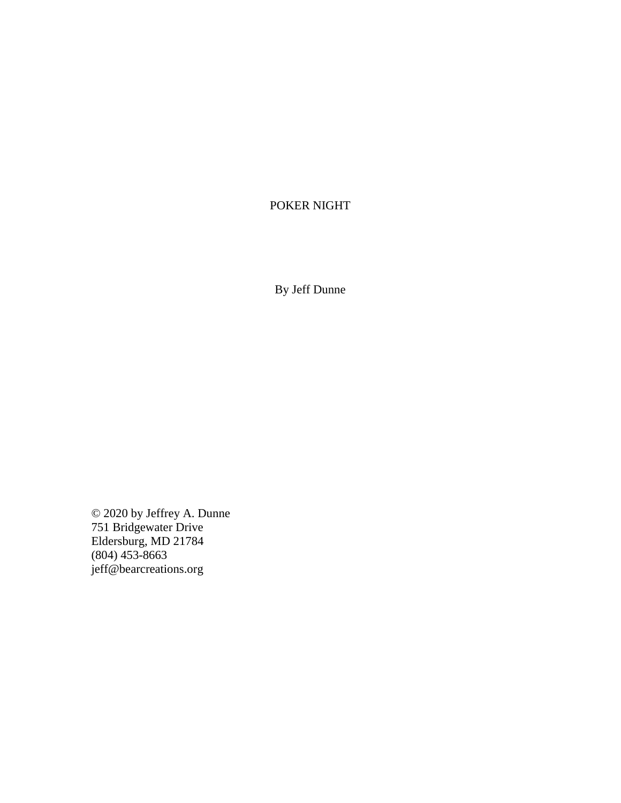# POKER NIGHT

By Jeff Dunne

© 2020 by Jeffrey A. Dunne 751 Bridgewater Drive Eldersburg, MD 21784 (804) 453-8663 jeff@bearcreations.org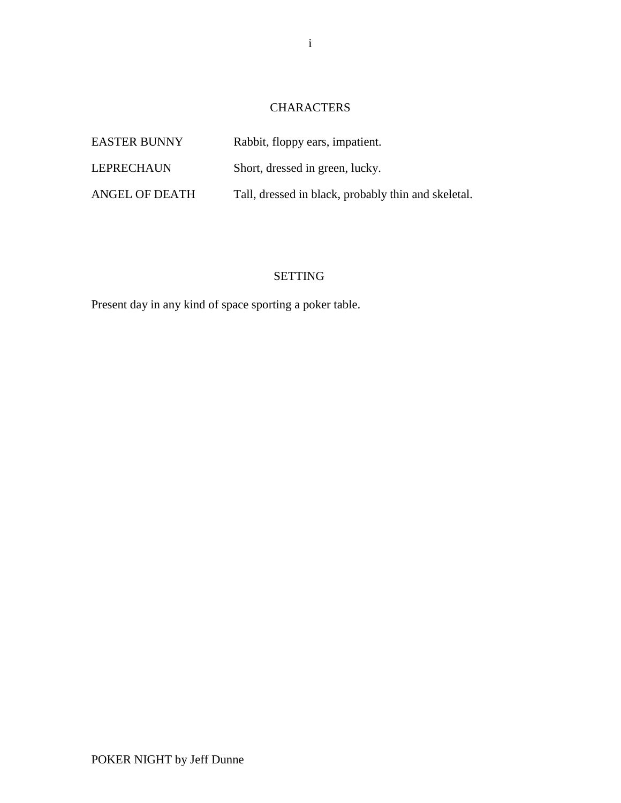# **CHARACTERS**

| <b>EASTER BUNNY</b> | Rabbit, floppy ears, impatient.                     |
|---------------------|-----------------------------------------------------|
| LEPRECHAUN          | Short, dressed in green, lucky.                     |
| ANGEL OF DEATH      | Tall, dressed in black, probably thin and skeletal. |

# SETTING

Present day in any kind of space sporting a poker table.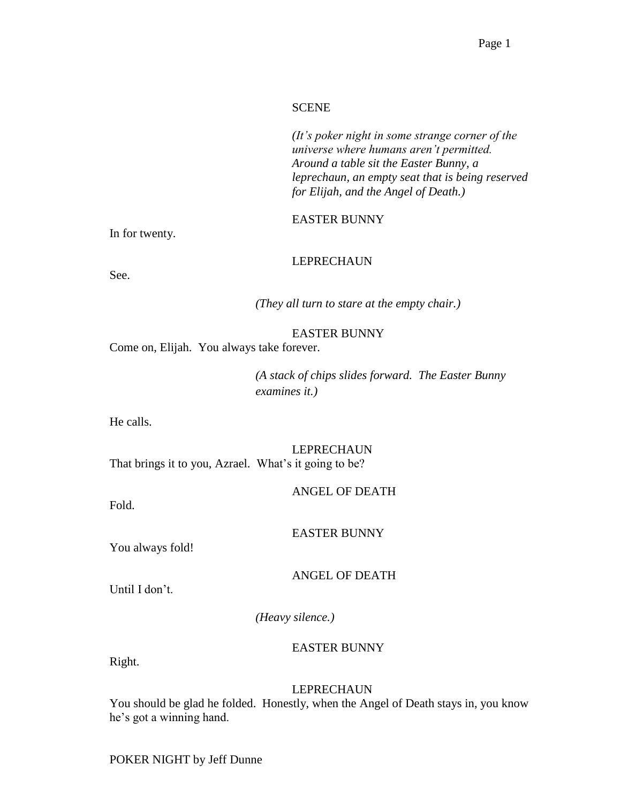#### **SCENE**

*(It's poker night in some strange corner of the universe where humans aren't permitted. Around a table sit the Easter Bunny, a leprechaun, an empty seat that is being reserved for Elijah, and the Angel of Death.)*

#### EASTER BUNNY

In for twenty.

## LEPRECHAUN

See.

*(They all turn to stare at the empty chair.)*

#### EASTER BUNNY

Come on, Elijah. You always take forever.

*(A stack of chips slides forward. The Easter Bunny examines it.)*

He calls.

#### LEPRECHAUN

That brings it to you, Azrael. What's it going to be?

ANGEL OF DEATH

Fold.

#### EASTER BUNNY

You always fold!

ANGEL OF DEATH

Until I don't.

*(Heavy silence.)*

#### EASTER BUNNY

Right.

#### LEPRECHAUN

You should be glad he folded. Honestly, when the Angel of Death stays in, you know he's got a winning hand.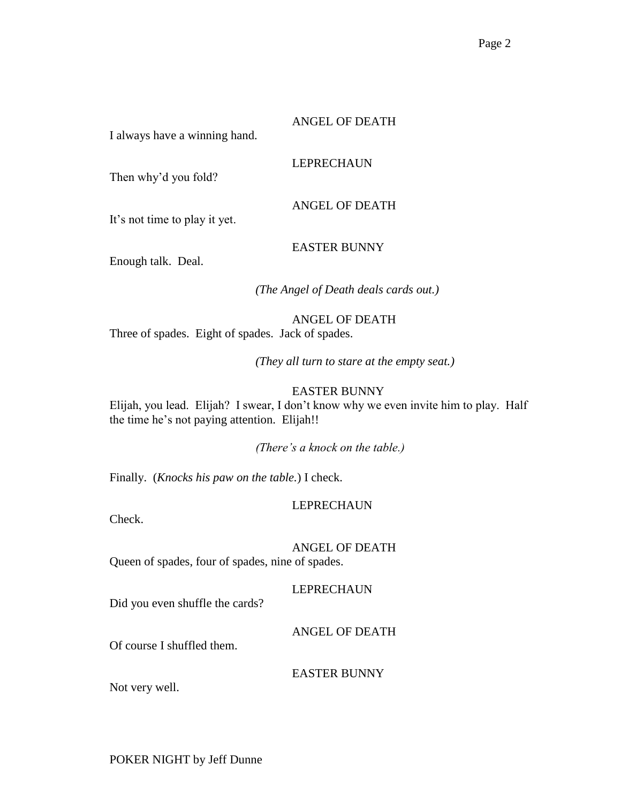#### ANGEL OF DEATH

LEPRECHAUN

I always have a winning hand.

Then why'd you fold?

It's not time to play it yet.

EASTER BUNNY

ANGEL OF DEATH

Enough talk. Deal.

*(The Angel of Death deals cards out.)*

# ANGEL OF DEATH

Three of spades. Eight of spades. Jack of spades.

*(They all turn to stare at the empty seat.)*

## EASTER BUNNY

Elijah, you lead. Elijah? I swear, I don't know why we even invite him to play. Half the time he's not paying attention. Elijah!!

*(There's a knock on the table.)*

Finally. (*Knocks his paw on the table.*) I check.

# LEPRECHAUN

Check.

ANGEL OF DEATH

Queen of spades, four of spades, nine of spades.

LEPRECHAUN

Did you even shuffle the cards?

ANGEL OF DEATH

Of course I shuffled them.

EASTER BUNNY

Not very well.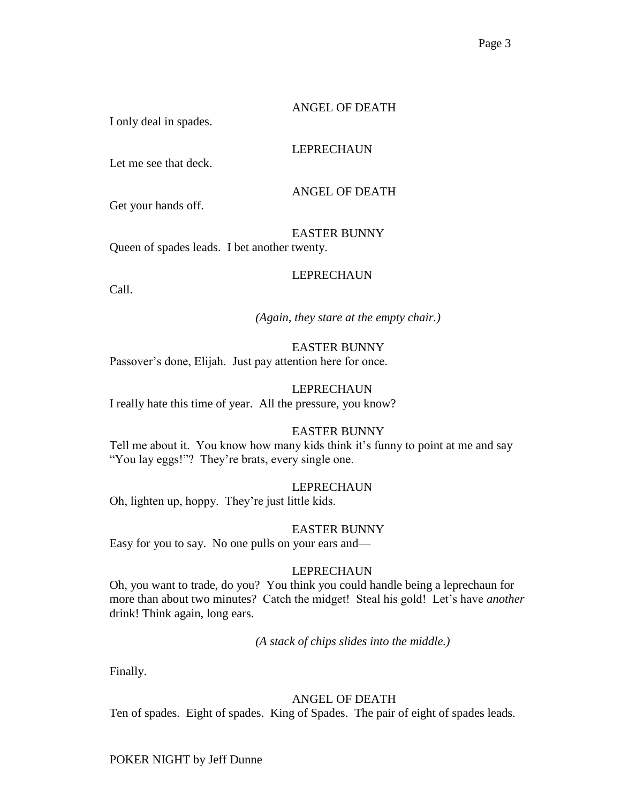## ANGEL OF DEATH

I only deal in spades.

# LEPRECHAUN

Let me see that deck.

ANGEL OF DEATH

Get your hands off.

EASTER BUNNY

Queen of spades leads. I bet another twenty.

# LEPRECHAUN

Call.

*(Again, they stare at the empty chair.)*

# EASTER BUNNY

Passover's done, Elijah. Just pay attention here for once.

# LEPRECHAUN

I really hate this time of year. All the pressure, you know?

# EASTER BUNNY

Tell me about it. You know how many kids think it's funny to point at me and say "You lay eggs!"? They're brats, every single one.

# LEPRECHAUN

Oh, lighten up, hoppy. They're just little kids.

EASTER BUNNY

Easy for you to say. No one pulls on your ears and—

# LEPRECHAUN

Oh, you want to trade, do you? You think you could handle being a leprechaun for more than about two minutes? Catch the midget! Steal his gold! Let's have *another* drink! Think again, long ears.

*(A stack of chips slides into the middle.)*

Finally.

# ANGEL OF DEATH

Ten of spades. Eight of spades. King of Spades. The pair of eight of spades leads.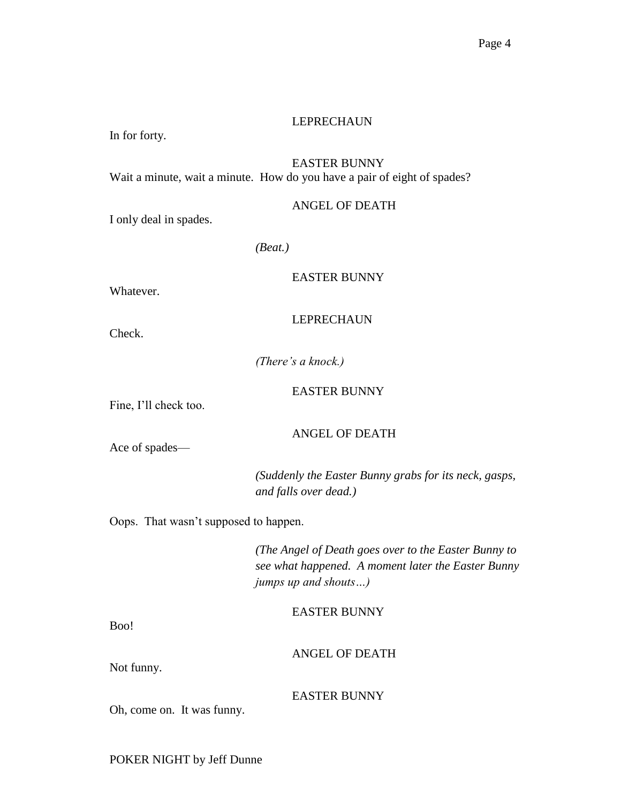#### LEPRECHAUN

In for forty.

# EASTER BUNNY

Wait a minute, wait a minute. How do you have a pair of eight of spades?

#### ANGEL OF DEATH

I only deal in spades.

*(Beat.)*

#### EASTER BUNNY

Whatever.

#### **LEPRECHAUN**

Check.

*(There's a knock.)*

#### EASTER BUNNY

Fine, I'll check too.

Ace of spades—

# ANGEL OF DEATH

*(Suddenly the Easter Bunny grabs for its neck, gasps, and falls over dead.)*

Oops. That wasn't supposed to happen.

*(The Angel of Death goes over to the Easter Bunny to see what happened. A moment later the Easter Bunny jumps up and shouts…)*

EASTER BUNNY

Boo!

ANGEL OF DEATH

Not funny.

EASTER BUNNY

Oh, come on. It was funny.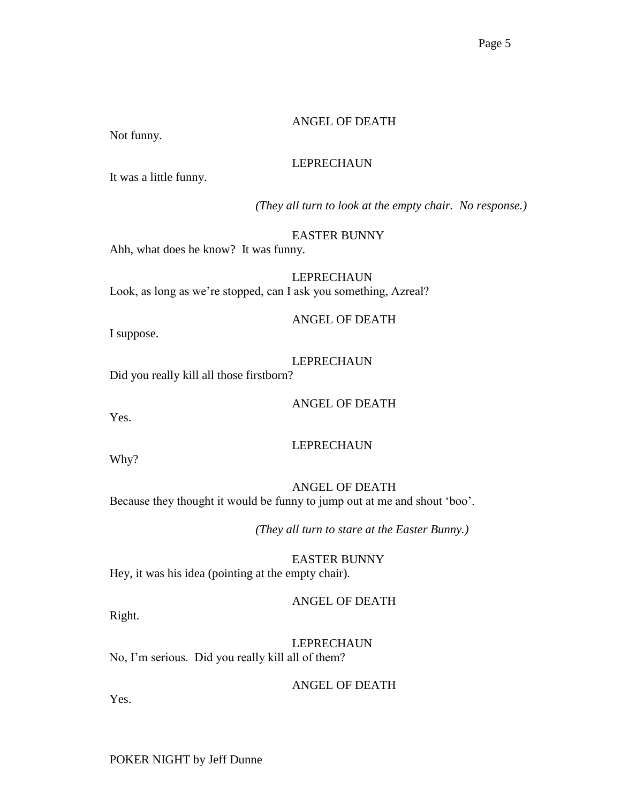## ANGEL OF DEATH

Not funny.

## LEPRECHAUN

It was a little funny.

*(They all turn to look at the empty chair. No response.)*

EASTER BUNNY

Ahh, what does he know? It was funny.

LEPRECHAUN Look, as long as we're stopped, can I ask you something, Azreal?

ANGEL OF DEATH

I suppose.

LEPRECHAUN

Did you really kill all those firstborn?

ANGEL OF DEATH

Yes.

# LEPRECHAUN

Why?

ANGEL OF DEATH Because they thought it would be funny to jump out at me and shout 'boo'.

*(They all turn to stare at the Easter Bunny.)*

EASTER BUNNY Hey, it was his idea (pointing at the empty chair).

ANGEL OF DEATH

Right.

LEPRECHAUN No, I'm serious. Did you really kill all of them?

ANGEL OF DEATH

Yes.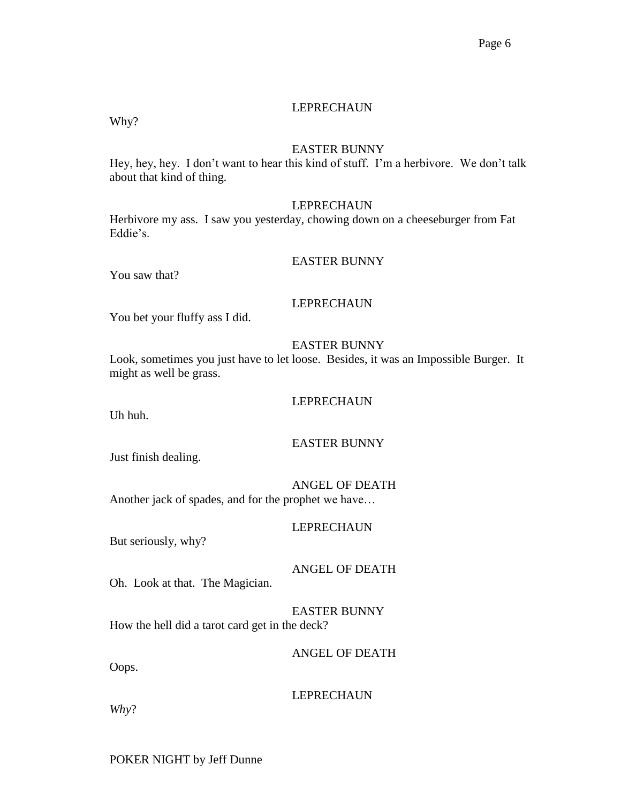## LEPRECHAUN

Why?

#### EASTER BUNNY

Hey, hey, hey. I don't want to hear this kind of stuff. I'm a herbivore. We don't talk about that kind of thing.

#### LEPRECHAUN

Herbivore my ass. I saw you yesterday, chowing down on a cheeseburger from Fat Eddie's.

#### EASTER BUNNY

You saw that?

#### LEPRECHAUN

You bet your fluffy ass I did.

#### EASTER BUNNY

Look, sometimes you just have to let loose. Besides, it was an Impossible Burger. It might as well be grass.

#### LEPRECHAUN

Uh huh.

#### EASTER BUNNY

Just finish dealing.

ANGEL OF DEATH

Another jack of spades, and for the prophet we have…

#### LEPRECHAUN

But seriously, why?

ANGEL OF DEATH

Oh. Look at that. The Magician.

EASTER BUNNY How the hell did a tarot card get in the deck?

ANGEL OF DEATH

Oops.

LEPRECHAUN

*Why*?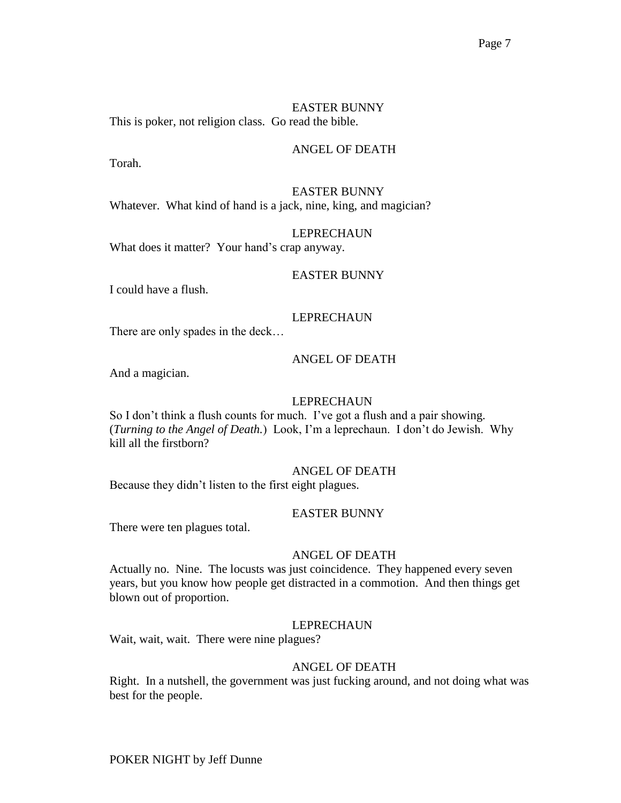EASTER BUNNY This is poker, not religion class. Go read the bible.

#### ANGEL OF DEATH

Torah.

#### EASTER BUNNY Whatever. What kind of hand is a jack, nine, king, and magician?

#### LEPRECHAUN

What does it matter? Your hand's crap anyway.

#### EASTER BUNNY

I could have a flush.

# LEPRECHAUN

There are only spades in the deck…

#### ANGEL OF DEATH

And a magician.

## LEPRECHAUN

So I don't think a flush counts for much. I've got a flush and a pair showing. (*Turning to the Angel of Death.*) Look, I'm a leprechaun. I don't do Jewish. Why kill all the firstborn?

#### ANGEL OF DEATH

Because they didn't listen to the first eight plagues.

#### EASTER BUNNY

There were ten plagues total.

#### ANGEL OF DEATH

Actually no. Nine. The locusts was just coincidence. They happened every seven years, but you know how people get distracted in a commotion. And then things get blown out of proportion.

#### LEPRECHAUN

Wait, wait, wait. There were nine plagues?

#### ANGEL OF DEATH

Right. In a nutshell, the government was just fucking around, and not doing what was best for the people.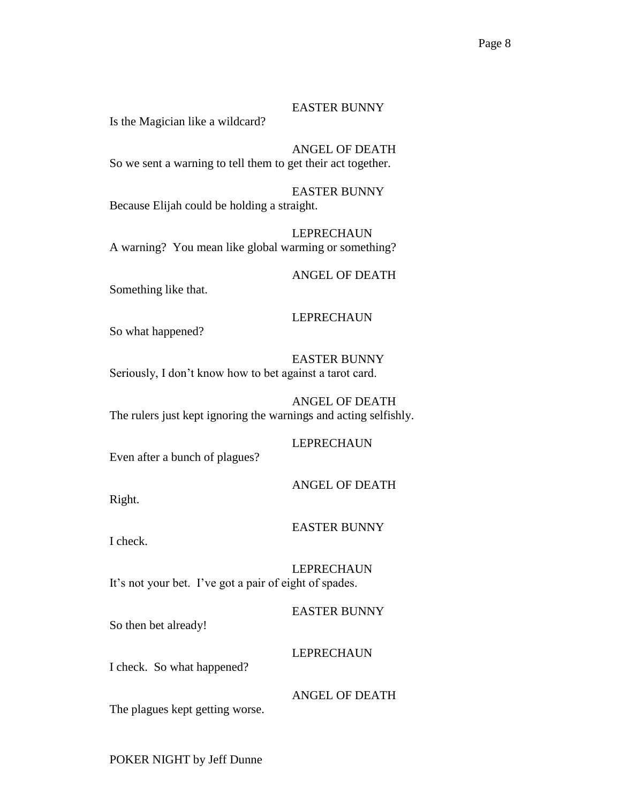#### EASTER BUNNY

Is the Magician like a wildcard?

ANGEL OF DEATH So we sent a warning to tell them to get their act together.

EASTER BUNNY Because Elijah could be holding a straight.

LEPRECHAUN A warning? You mean like global warming or something?

# ANGEL OF DEATH

Something like that.

## LEPRECHAUN

So what happened?

EASTER BUNNY Seriously, I don't know how to bet against a tarot card.

ANGEL OF DEATH The rulers just kept ignoring the warnings and acting selfishly.

#### LEPRECHAUN

Even after a bunch of plagues?

#### ANGEL OF DEATH

Right.

#### EASTER BUNNY

I check.

LEPRECHAUN It's not your bet. I've got a pair of eight of spades.

EASTER BUNNY

So then bet already!

## LEPRECHAUN

I check. So what happened?

ANGEL OF DEATH

The plagues kept getting worse.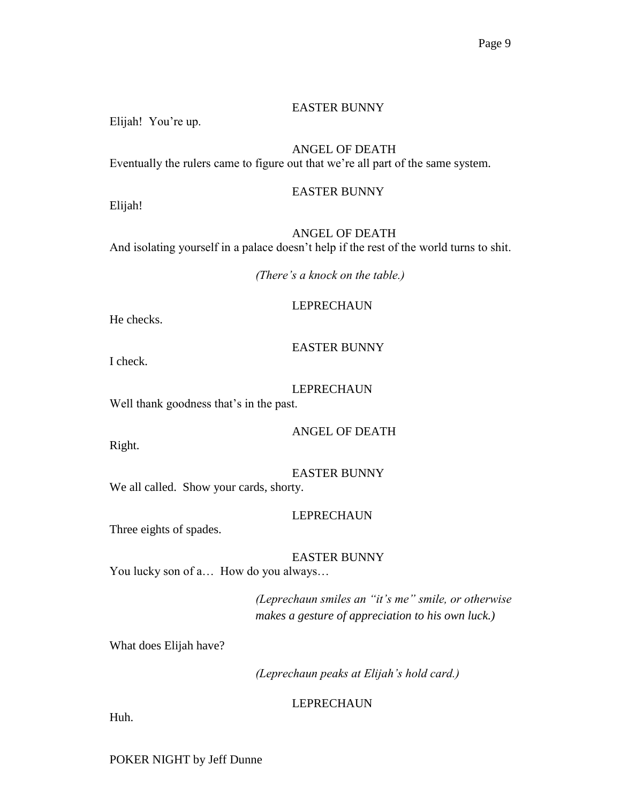#### EASTER BUNNY

Elijah! You're up.

# ANGEL OF DEATH

Eventually the rulers came to figure out that we're all part of the same system.

Elijah!

# EASTER BUNNY

ANGEL OF DEATH And isolating yourself in a palace doesn't help if the rest of the world turns to shit.

*(There's a knock on the table.)*

#### LEPRECHAUN

He checks.

## EASTER BUNNY

I check.

#### LEPRECHAUN

Well thank goodness that's in the past.

ANGEL OF DEATH

Right.

EASTER BUNNY We all called. Show your cards, shorty.

#### LEPRECHAUN

Three eights of spades.

EASTER BUNNY

You lucky son of a… How do you always…

*(Leprechaun smiles an "it's me" smile, or otherwise makes a gesture of appreciation to his own luck.)*

What does Elijah have?

*(Leprechaun peaks at Elijah's hold card.)*

#### LEPRECHAUN

Huh.